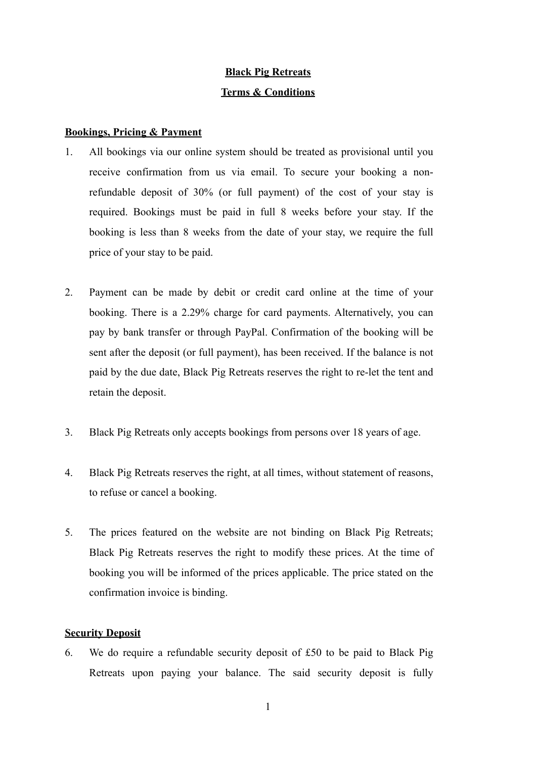# **Black Pig Retreats Terms & Conditions**

# **Bookings, Pricing & Payment**

- 1. All bookings via our online system should be treated as provisional until you receive confirmation from us via email. To secure your booking a nonrefundable deposit of 30% (or full payment) of the cost of your stay is required. Bookings must be paid in full 8 weeks before your stay. If the booking is less than 8 weeks from the date of your stay, we require the full price of your stay to be paid.
- 2. Payment can be made by debit or credit card online at the time of your booking. There is a 2.29% charge for card payments. Alternatively, you can pay by bank transfer or through PayPal. Confirmation of the booking will be sent after the deposit (or full payment), has been received. If the balance is not paid by the due date, Black Pig Retreats reserves the right to re-let the tent and retain the deposit.
- 3. Black Pig Retreats only accepts bookings from persons over 18 years of age.
- 4. Black Pig Retreats reserves the right, at all times, without statement of reasons, to refuse or cancel a booking.
- 5. The prices featured on the website are not binding on Black Pig Retreats; Black Pig Retreats reserves the right to modify these prices. At the time of booking you will be informed of the prices applicable. The price stated on the confirmation invoice is binding.

# **Security Deposit**

6. We do require a refundable security deposit of £50 to be paid to Black Pig Retreats upon paying your balance. The said security deposit is fully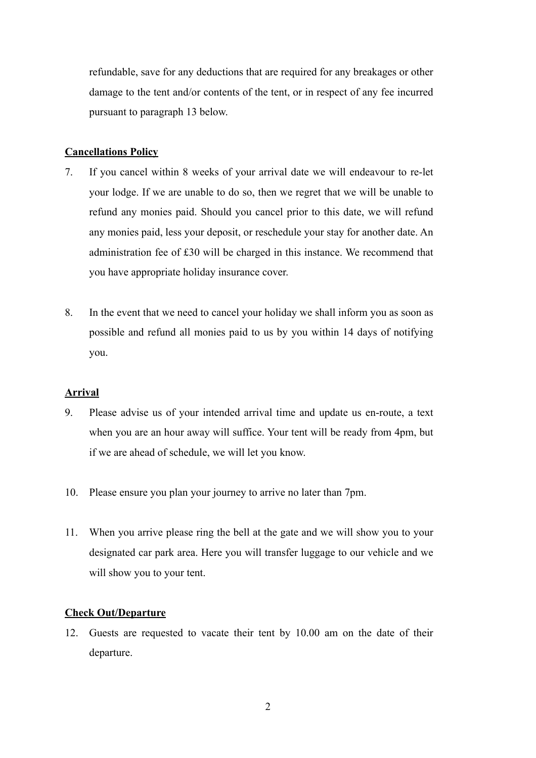refundable, save for any deductions that are required for any breakages or other damage to the tent and/or contents of the tent, or in respect of any fee incurred pursuant to paragraph 13 below.

# **Cancellations Policy**

- 7. If you cancel within 8 weeks of your arrival date we will endeavour to re-let your lodge. If we are unable to do so, then we regret that we will be unable to refund any monies paid. Should you cancel prior to this date, we will refund any monies paid, less your deposit, or reschedule your stay for another date. An administration fee of £30 will be charged in this instance. We recommend that you have appropriate holiday insurance cover.
- 8. In the event that we need to cancel your holiday we shall inform you as soon as possible and refund all monies paid to us by you within 14 days of notifying you.

# **Arrival**

- 9. Please advise us of your intended arrival time and update us en-route, a text when you are an hour away will suffice. Your tent will be ready from 4pm, but if we are ahead of schedule, we will let you know.
- 10. Please ensure you plan your journey to arrive no later than 7pm.
- 11. When you arrive please ring the bell at the gate and we will show you to your designated car park area. Here you will transfer luggage to our vehicle and we will show you to your tent.

# **Check Out/Departure**

12. Guests are requested to vacate their tent by 10.00 am on the date of their departure.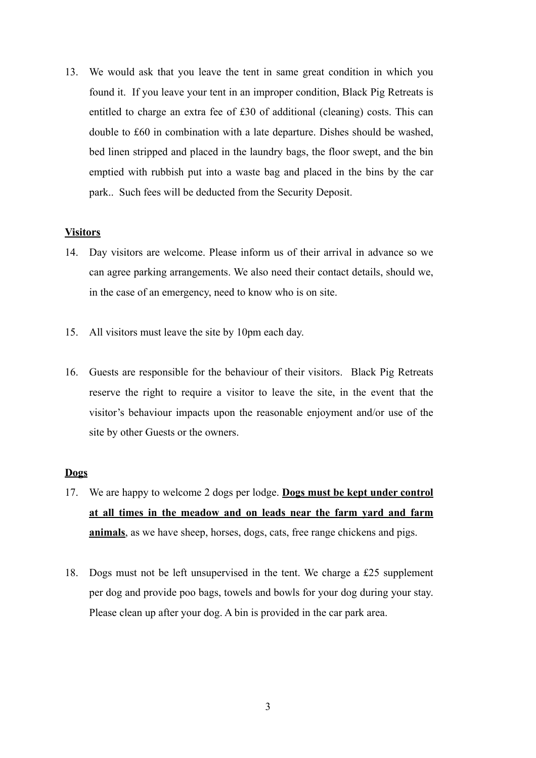13. We would ask that you leave the tent in same great condition in which you found it. If you leave your tent in an improper condition, Black Pig Retreats is entitled to charge an extra fee of £30 of additional (cleaning) costs. This can double to £60 in combination with a late departure. Dishes should be washed, bed linen stripped and placed in the laundry bags, the floor swept, and the bin emptied with rubbish put into a waste bag and placed in the bins by the car park.. Such fees will be deducted from the Security Deposit.

# **Visitors**

- 14. Day visitors are welcome. Please inform us of their arrival in advance so we can agree parking arrangements. We also need their contact details, should we, in the case of an emergency, need to know who is on site.
- 15. All visitors must leave the site by 10pm each day.
- 16. Guests are responsible for the behaviour of their visitors. Black Pig Retreats reserve the right to require a visitor to leave the site, in the event that the visitor's behaviour impacts upon the reasonable enjoyment and/or use of the site by other Guests or the owners.

#### **Dogs**

- 17. We are happy to welcome 2 dogs per lodge. **Dogs must be kept under control at all times in the meadow and on leads near the farm yard and farm animals**, as we have sheep, horses, dogs, cats, free range chickens and pigs.
- 18. Dogs must not be left unsupervised in the tent. We charge a £25 supplement per dog and provide poo bags, towels and bowls for your dog during your stay. Please clean up after your dog. A bin is provided in the car park area.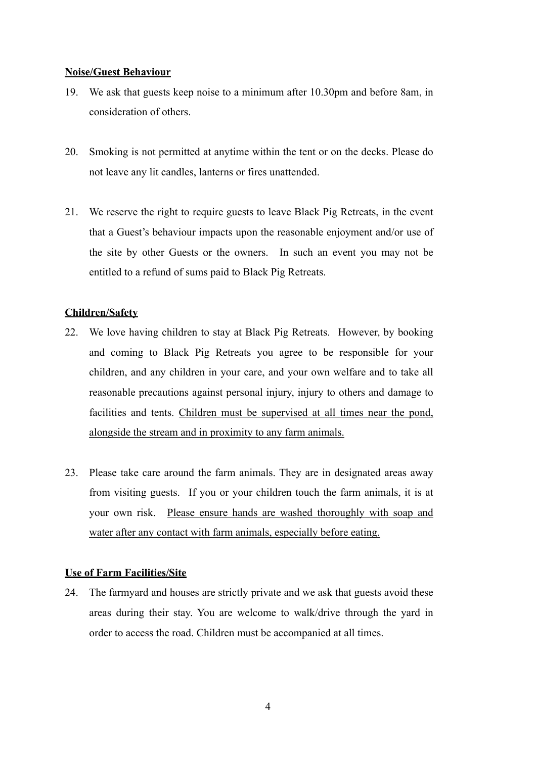# **Noise/Guest Behaviour**

- 19. We ask that guests keep noise to a minimum after 10.30pm and before 8am, in consideration of others.
- 20. Smoking is not permitted at anytime within the tent or on the decks. Please do not leave any lit candles, lanterns or fires unattended.
- 21. We reserve the right to require guests to leave Black Pig Retreats, in the event that a Guest's behaviour impacts upon the reasonable enjoyment and/or use of the site by other Guests or the owners. In such an event you may not be entitled to a refund of sums paid to Black Pig Retreats.

# **Children/Safety**

- 22. We love having children to stay at Black Pig Retreats. However, by booking and coming to Black Pig Retreats you agree to be responsible for your children, and any children in your care, and your own welfare and to take all reasonable precautions against personal injury, injury to others and damage to facilities and tents. Children must be supervised at all times near the pond, alongside the stream and in proximity to any farm animals.
- 23. Please take care around the farm animals. They are in designated areas away from visiting guests. If you or your children touch the farm animals, it is at your own risk. Please ensure hands are washed thoroughly with soap and water after any contact with farm animals, especially before eating.

#### **Use of Farm Facilities/Site**

24. The farmyard and houses are strictly private and we ask that guests avoid these areas during their stay. You are welcome to walk/drive through the yard in order to access the road. Children must be accompanied at all times.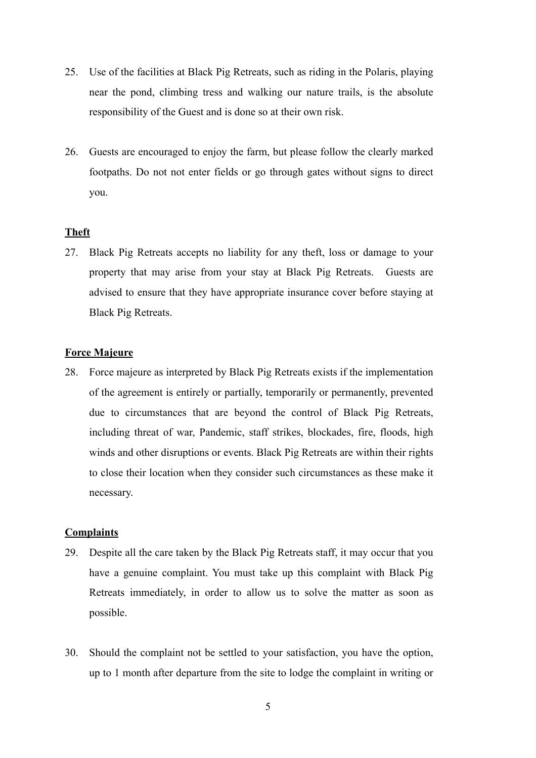- 25. Use of the facilities at Black Pig Retreats, such as riding in the Polaris, playing near the pond, climbing tress and walking our nature trails, is the absolute responsibility of the Guest and is done so at their own risk.
- 26. Guests are encouraged to enjoy the farm, but please follow the clearly marked footpaths. Do not not enter fields or go through gates without signs to direct you.

# **Theft**

27. Black Pig Retreats accepts no liability for any theft, loss or damage to your property that may arise from your stay at Black Pig Retreats. Guests are advised to ensure that they have appropriate insurance cover before staying at Black Pig Retreats.

#### **Force Majeure**

28. Force majeure as interpreted by Black Pig Retreats exists if the implementation of the agreement is entirely or partially, temporarily or permanently, prevented due to circumstances that are beyond the control of Black Pig Retreats, including threat of war, Pandemic, staff strikes, blockades, fire, floods, high winds and other disruptions or events. Black Pig Retreats are within their rights to close their location when they consider such circumstances as these make it necessary.

# **Complaints**

- 29. Despite all the care taken by the Black Pig Retreats staff, it may occur that you have a genuine complaint. You must take up this complaint with Black Pig Retreats immediately, in order to allow us to solve the matter as soon as possible.
- 30. Should the complaint not be settled to your satisfaction, you have the option, up to 1 month after departure from the site to lodge the complaint in writing or